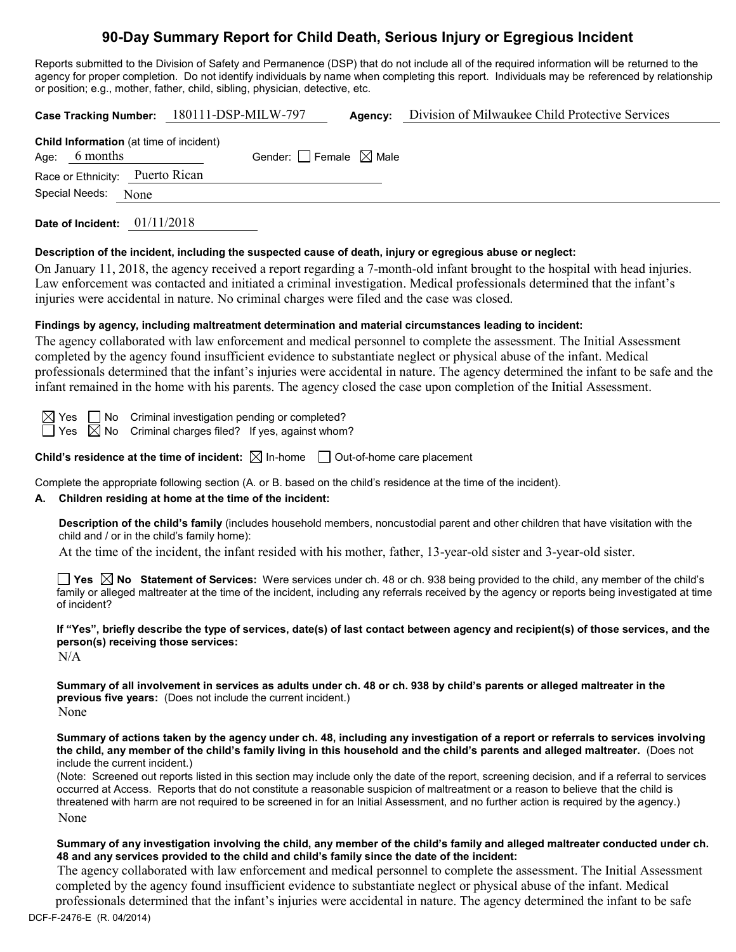# **90-Day Summary Report for Child Death, Serious Injury or Egregious Incident**

Reports submitted to the Division of Safety and Permanence (DSP) that do not include all of the required information will be returned to the agency for proper completion. Do not identify individuals by name when completing this report. Individuals may be referenced by relationship or position; e.g., mother, father, child, sibling, physician, detective, etc.

|                                                                   | Case Tracking Number: 180111-DSP-MILW-797 | Agency: | Division of Milwaukee Child Protective Services |
|-------------------------------------------------------------------|-------------------------------------------|---------|-------------------------------------------------|
| <b>Child Information</b> (at time of incident)<br>Age: $6$ months | Gender: Female $\boxtimes$ Male           |         |                                                 |
| Race or Ethnicity: Puerto Rican                                   |                                           |         |                                                 |
| Special Needs: None                                               |                                           |         |                                                 |
| Date of Incident: $01/11/2018$                                    |                                           |         |                                                 |

# **Description of the incident, including the suspected cause of death, injury or egregious abuse or neglect:**

On January 11, 2018, the agency received a report regarding a 7-month-old infant brought to the hospital with head injuries. Law enforcement was contacted and initiated a criminal investigation. Medical professionals determined that the infant's injuries were accidental in nature. No criminal charges were filed and the case was closed.

# **Findings by agency, including maltreatment determination and material circumstances leading to incident:**

The agency collaborated with law enforcement and medical personnel to complete the assessment. The Initial Assessment completed by the agency found insufficient evidence to substantiate neglect or physical abuse of the infant. Medical professionals determined that the infant's injuries were accidental in nature. The agency determined the infant to be safe and the infant remained in the home with his parents. The agency closed the case upon completion of the Initial Assessment.

 $\boxtimes$  Yes  $\Box$  No Criminal investigation pending or completed?

 $\Box$  Yes  $\boxtimes$  No Criminal charges filed? If yes, against whom?

**Child's residence at the time of incident:**  $\boxtimes$  In-home  $\Box$  Out-of-home care placement

Complete the appropriate following section (A. or B. based on the child's residence at the time of the incident).

# **A. Children residing at home at the time of the incident:**

**Description of the child's family** (includes household members, noncustodial parent and other children that have visitation with the child and / or in the child's family home):

At the time of the incident, the infant resided with his mother, father, 13-year-old sister and 3-year-old sister.

■ Yes **△ No** Statement of Services: Were services under ch. 48 or ch. 938 being provided to the child, any member of the child's family or alleged maltreater at the time of the incident, including any referrals received by the agency or reports being investigated at time of incident?

**If "Yes", briefly describe the type of services, date(s) of last contact between agency and recipient(s) of those services, and the person(s) receiving those services:**

 $N/A$ 

**Summary of all involvement in services as adults under ch. 48 or ch. 938 by child's parents or alleged maltreater in the previous five years:** (Does not include the current incident.) None

**Summary of actions taken by the agency under ch. 48, including any investigation of a report or referrals to services involving the child, any member of the child's family living in this household and the child's parents and alleged maltreater.** (Does not include the current incident.)

(Note: Screened out reports listed in this section may include only the date of the report, screening decision, and if a referral to services occurred at Access. Reports that do not constitute a reasonable suspicion of maltreatment or a reason to believe that the child is threatened with harm are not required to be screened in for an Initial Assessment, and no further action is required by the agency.) None

#### **Summary of any investigation involving the child, any member of the child's family and alleged maltreater conducted under ch. 48 and any services provided to the child and child's family since the date of the incident:**

 The agency collaborated with law enforcement and medical personnel to complete the assessment. The Initial Assessment completed by the agency found insufficient evidence to substantiate neglect or physical abuse of the infant. Medical professionals determined that the infant's injuries were accidental in nature. The agency determined the infant to be safe